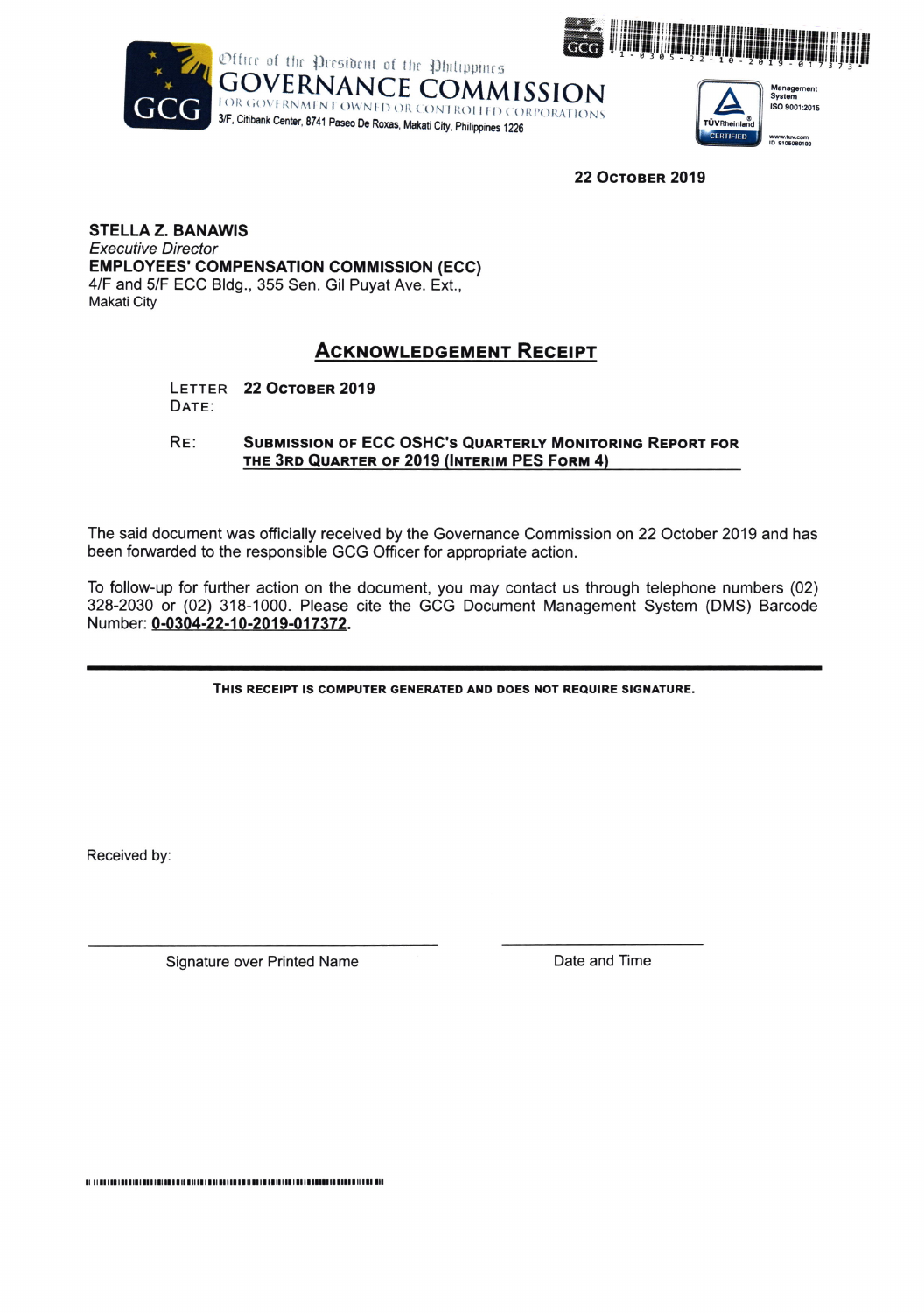





22 Остовек 2019

**STELLA Z. BANAWIS Executive Director EMPLOYEES' COMPENSATION COMMISSION (ECC)** 4/F and 5/F ECC Bldg., 355 Sen. Gil Puyat Ave. Ext., **Makati City** 

## **ACKNOWLEDGEMENT RECEIPT**

LETTER 22 OCTOBER 2019 DATE:

 $RE:$ **SUBMISSION OF ECC OSHC'S QUARTERLY MONITORING REPORT FOR** THE 3RD QUARTER OF 2019 (INTERIM PES FORM 4)

The said document was officially received by the Governance Commission on 22 October 2019 and has been forwarded to the responsible GCG Officer for appropriate action.

To follow-up for further action on the document, you may contact us through telephone numbers (02) 328-2030 or (02) 318-1000. Please cite the GCG Document Management System (DMS) Barcode Number: 0-0304-22-10-2019-017372.

THIS RECEIPT IS COMPUTER GENERATED AND DOES NOT REQUIRE SIGNATURE.

Received by:

Signature over Printed Name

Date and Time